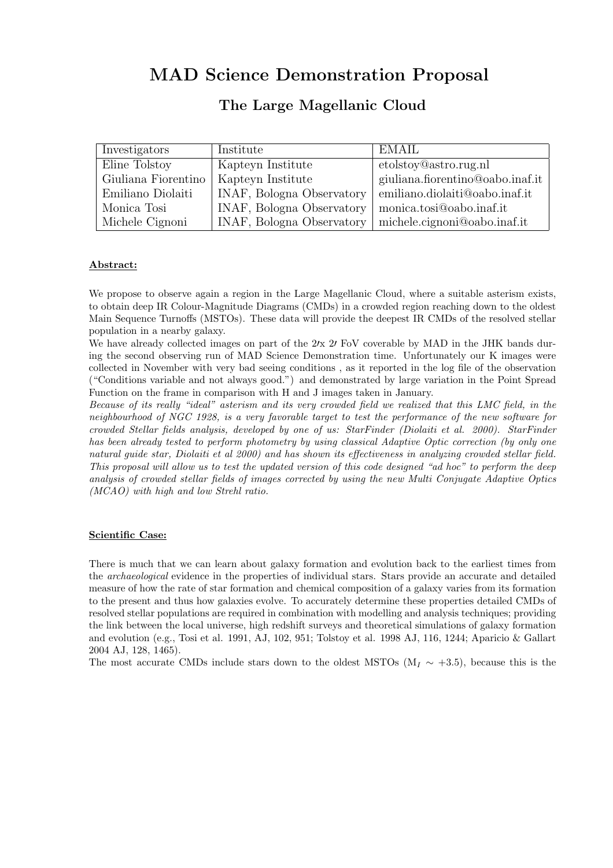# MAD Science Demonstration Proposal

## The Large Magellanic Cloud

| Investigators       | Institute                 | <b>EMAIL</b>                         |
|---------------------|---------------------------|--------------------------------------|
| Eline Tolstoy       | Kapteyn Institute         | etolstoy@astro.rug.nl                |
| Giuliana Fiorentino | Kapteyn Institute         | giuliana.fiorentino@oabo.inaf.it $ $ |
| Emiliano Diolaiti   | INAF, Bologna Observatory | emiliano.diolaiti@oabo.inaf.it       |
| Monica Tosi         | INAF, Bologna Observatory | monica.tosi@oabo.inaf.it             |
| Michele Cignoni     | INAF, Bologna Observatory | michele.cignoni@oabo.inaf.it         |

### Abstract:

We propose to observe again a region in the Large Magellanic Cloud, where a suitable asterism exists, to obtain deep IR Colour-Magnitude Diagrams (CMDs) in a crowded region reaching down to the oldest Main Sequence Turnoffs (MSTOs). These data will provide the deepest IR CMDs of the resolved stellar population in a nearby galaxy.

We have already collected images on part of the  $2/x$  2/ FoV coverable by MAD in the JHK bands during the second observing run of MAD Science Demonstration time. Unfortunately our K images were collected in November with very bad seeing conditions , as it reported in the log file of the observation ("Conditions variable and not always good.") and demonstrated by large variation in the Point Spread Function on the frame in comparison with H and J images taken in January.

Because of its really "ideal" asterism and its very crowded field we realized that this LMC field, in the neighbourhood of NGC 1928, is a very favorable target to test the performance of the new software for crowded Stellar fields analysis, developed by one of us: StarFinder (Diolaiti et al. 2000). StarFinder has been already tested to perform photometry by using classical Adaptive Optic correction (by only one natural guide star, Diolaiti et al 2000) and has shown its effectiveness in analyzing crowded stellar field. This proposal will allow us to test the updated version of this code designed "ad hoc" to perform the deep analysis of crowded stellar fields of images corrected by using the new Multi Conjugate Adaptive Optics (MCAO) with high and low Strehl ratio.

#### Scientific Case:

There is much that we can learn about galaxy formation and evolution back to the earliest times from the archaeological evidence in the properties of individual stars. Stars provide an accurate and detailed measure of how the rate of star formation and chemical composition of a galaxy varies from its formation to the present and thus how galaxies evolve. To accurately determine these properties detailed CMDs of resolved stellar populations are required in combination with modelling and analysis techniques; providing the link between the local universe, high redshift surveys and theoretical simulations of galaxy formation and evolution (e.g., Tosi et al. 1991, AJ, 102, 951; Tolstoy et al. 1998 AJ, 116, 1244; Aparicio & Gallart 2004 AJ, 128, 1465).

The most accurate CMDs include stars down to the oldest MSTOs (M<sub>I</sub>  $\sim$  +3.5), because this is the